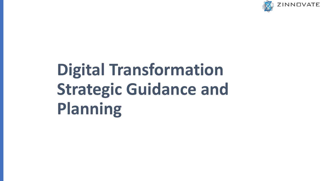

# **Digital Transformation Strategic Guidance and Planning**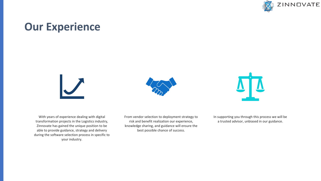

### **Our Experience**







With years of experience dealing with digital transformation projects in the Logistics industry, Zinnovate has gained the unique position to be able to provide guidance, strategy and delivery during the software selection process in specific to your industry.

From vendor selection to deployment strategy to risk and benefit realization our experience, knowledge sharing, and guidance will ensure the best possible chance of success.

In supporting you through this process we will be a trusted advisor, unbiased in our guidance.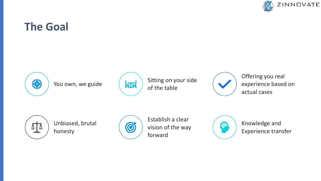

### **The Goal**





You own, we guide  $\left(\frac{\sqrt{2\pi}}{\sqrt{2\pi}}\right)$  Sitting on your side of the table



Offering you real experience based on actual cases



Unbiased, brutal honesty



Establish a clear vision of the way forward



Knowledge and Experience transfer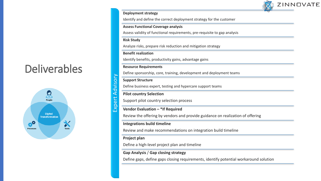### **ZINNOVATE**

#### **Deployment strategy**

Identify and define the correct deployment strategy for the customer

#### **Assess Functional Coverage analysis**

Assess validity of functional requirements, pre-requisite to gap analysis

#### **Risk Study**

Analyze risks, prepare risk reduction and mitigation strategy

#### **Benefit realization**

Identify benefits, productivity gains, advantage gains

#### **Resource Requirements**

Define sponsorship, core, training, development and deployment teams

#### **Support Structure**

Expert Advisory

Expert Advisory

Define business expert, testing and hypercare support teams

#### **Pilot country Selection**

Support pilot country selection process

#### **Vendor Evaluation – \*If Required**

Review the offering by vendors and provide guidance on realization of offering

#### **Integrations build timeline**

Review and make recommendations on integration build timeline

#### **Project plan**

Define a high-level project plan and timeline

#### **Gap Analysis** / **Gap closing strategy**

Define gaps, define gaps closing requirements, identify potential workaround solution



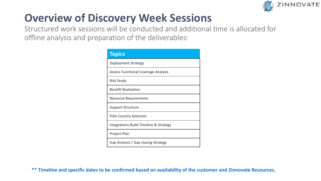

### **Overview of Discovery Week Sessions**

Structured work sessions will be conducted and additional time is allocated for offline analysis and preparation of the deliverables:

| <b>Topics</b>                              |
|--------------------------------------------|
| Deployment Strategy                        |
| <b>Assess Functional Coverage Analysis</b> |
| <b>Risk Study</b>                          |
| <b>Benefit Realization</b>                 |
| <b>Resource Requirements</b>               |
| <b>Support Structure</b>                   |
| <b>Pilot Country Selection</b>             |
| Integrations Build Timeline & Strategy     |
| Project Plan                               |
| Gap Analysis / Gap closing Strategy        |

**\*\* Timeline and specific dates to be confirmed based on availability of the customer and Zinnovate Resources.**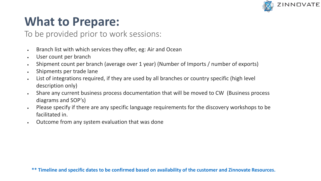

# **What to Prepare:**

### To be provided prior to work sessions:

- Branch list with which services they offer, eg: Air and Ocean
- User count per branch
- Shipment count per branch (average over 1 year) (Number of Imports / number of exports)
- Shipments per trade lane
- List of integrations required, if they are used by all branches or country specific (high level description only)
- Share any current business process documentation that will be moved to CW (Business process diagrams and SOP's)
- Please specify if there are any specific language requirements for the discovery workshops to be facilitated in.
- Outcome from any system evaluation that was done

**\*\* Timeline and specific dates to be confirmed based on availability of the customer and Zinnovate Resources.**